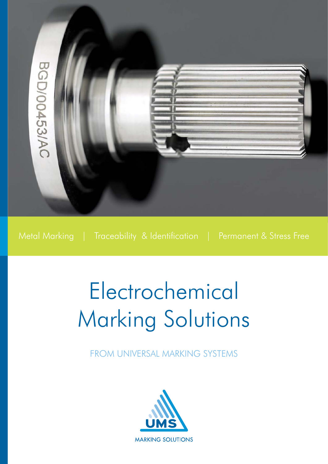

Metal Marking | Traceability & Identification | Permanent & Stress Free

# Electrochemical Marking Solutions

FROM UNIVERSAL MARKING SYSTEMS

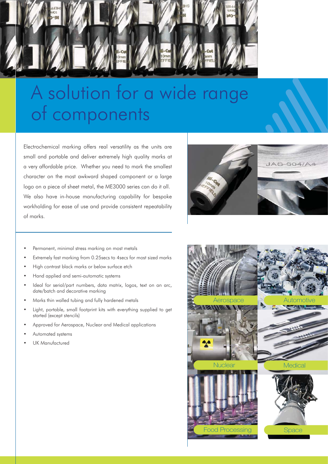

## A solution for a wide range of components

Electrochemical marking offers real versatility as the units are small and portable and deliver extremely high quality marks at a very affordable price. Whether you need to mark the smallest character on the most awkward shaped component or a large logo on a piece of sheet metal, the ME3000 series can do it all. We also have in-house manufacturing capability for bespoke workholding for ease of use and provide consistent repeatability of marks.



- Permanent, minimal stress marking on most metals
- Extremely fast marking from 0.25 secs to 4 secs for most sized marks
- High contrast black marks or below surface etch  $\bullet$
- Hand applied and semi-automatic systems  $\bullet$
- Ideal for serial/part numbers, data matrix, logos, text on an arc, date/batch and decorative marking
- Marks thin walled tubing and fully hardened metals
- Light, portable, small footprint kits with everything supplied to get started (except stencils)
- Approved for Aerospace, Nuclear and Medical applications  $\overline{a}$
- Automated systems
- UK Manufactured

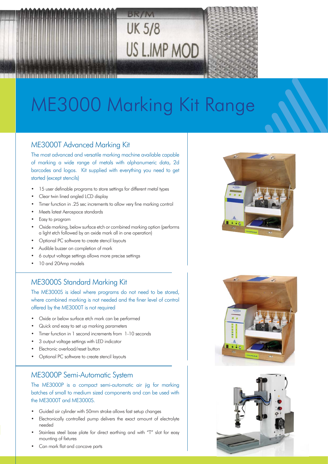



## ME3000 Marking Kit Range

#### **ME3000T Advanced Marking Kit**

The most advanced and versatile marking machine available capable of marking a wide range of metals with alphanumeric data, 2d barcodes and logos. Kit supplied with everything you need to get started (except stencils)

- 15 user definable programs to store settings for different metal types
- Clear twin lined angled LCD display  $\bullet$
- Timer function in .25 sec increments to allow very fine marking control
- Meets latest Aerospace standards
- Easy to program
- Oxide marking, below surface etch or combined marking option (performs) a light etch followed by an oxide mark all in one operation)
- Optional PC software to create stencil layouts
- Audible buzzer on completion of mark
- 6 output voltage settings allows more precise settings
- 10 and 20Amp models

#### **ME3000S Standard Marking Kit**

The ME3000S is ideal where programs do not need to be stored, where combined marking is not needed and the finer level of control offered by the ME3000T is not required

- Oxide or below surface etch mark can be performed
- Quick and easy to set up marking parameters  $\bullet$
- Timer function in 1 second increments from 1-10 seconds
- 3 output voltage settings with LED indicator
- Electronic overload/reset button
- Optional PC software to create stencil layouts

#### ME3000P Semi-Automatic System

The ME3000P is a compact semi-automatic air jig for marking batches of small to medium sized components and can be used with the ME3000T and ME3000S.

- Guided air cylinder with 50mm stroke allows fast setup changes  $\blacksquare$
- Electronically controlled pump delivers the exact amount of electrolyte  $\bullet$ needed
- Stainless steel base plate for direct earthing and with "T" slot for easy mounting of fixtures
- Can mark flat and concave parts





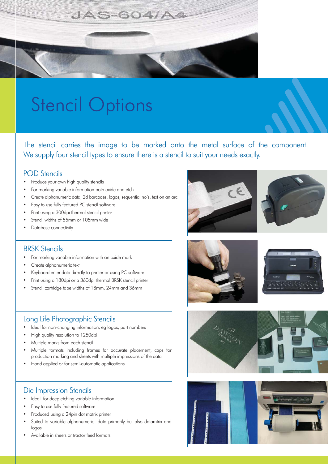

## **Stencil Options**

The stencil carries the image to be marked onto the metal surface of the component. We supply four stencil types to ensure there is a stencil to suit your needs exactly.

#### **POD** Stencils

- $\ddot{\phantom{0}}$ Produce your own high quality stencils
- For marking variable information both oxide and etch  $\bullet$
- Create alphanumeric data, 2d barcodes, logos, sequential no's, text on an arc  $\ddot{\phantom{0}}$
- Easy to use fully featured PC stencil software  $\bullet$
- $\bullet$ Print using a 300dpi thermal stencil printer
- Stencil widths of 55mm or 105mm wide  $\bullet$
- Database connectivity

#### **BRSK Stencils**

- $\bullet$ For marking variable information with an oxide mark
- Create alphanumeric text  $\bullet$
- Keyboard enter data directly to printer or using PC software  $\bullet$
- Print using a 180dpi or a 360dpi thermal BRSK stencil printer  $\bullet$
- Stencil cartridge tape widths of 18mm, 24mm and 36mm

#### Long Life Photographic Stencils

- Ideal for non-changing information, eg logos, part numbers
- High quality resolution to 1250dpi  $\bullet$
- Multiple marks from each stencil  $\bullet$
- Multiple formats including frames for accurate placement, caps for  $\bullet$ production marking and sheets with multiple impressions of the data
- Hand applied or for semi-automatic applications

#### Die Impression Stencils

- Ideal for deep etching variable information  $\bullet$
- Easy to use fully featured software  $\bullet$
- Produced using a 24pin dot matrix printer  $\bullet$
- Suited to variable alphanumeric data primarily but also datamtrix and  $\bullet$ logos
- Available in sheets or tractor feed formats









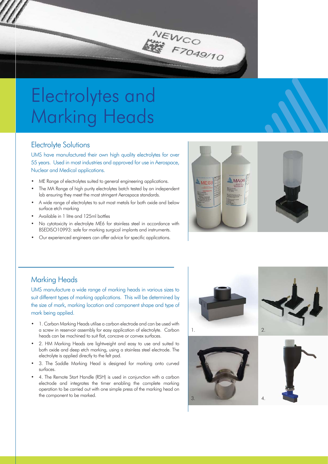### Electrolytes and Marking Heads

#### Electrolyte Solutions

UMS have manufactured their own high quality electrolytes for over 55 years. Used in most industries and approved for use in Aerospace, Nuclear and Medical applications.

NEWCO

F7049/10

- ME Range of electrolytes suited to general engineering applications.
- The MA Range of high purity electrolytes batch tested by an independent lab ensuring they meet the most stringent Aerospace standards.
- A wide range of electrolytes to suit most metals for both oxide and below surface etch marking
- Available in 1 litre and 125ml bottles
- No cytotoxicity in electrolyte ME6 for stainless steel in accordance with BSEDISO10993: safe for marking surgical implants and instruments.
- Our experienced engineers can offer advice for specific applications.



#### **Marking Heads**

UMS manufacture a wide range of marking heads in various sizes to suit different types of marking applications. This will be determined by the size of mark, marking location and component shape and type of mark being applied.

- 1. Carbon Marking Heads utilise a carbon electrode and can be used with a screw in reservoir assembly for easy application of electrolyte. Carbon heads can be machined to suit flat. concave or convex surfaces.
- 2. HM Marking Heads are lightweight and easy to use and suited to both oxide and deep etch marking, using a stainless steel electrode. The electrolyte is applied directly to the felt pad.
- 3. The Saddle Marking Head is designed for marking onto curved surfaces.
- 4. The Remote Start Handle (RSH) is used in conjunction with a carbon electrode and integrates the timer enabling the complete marking operation to be carried out with one simple press of the marking head on the component to be marked.









 $\overline{A}$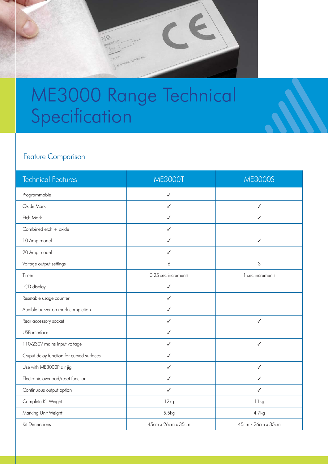### ME3000 Range Technical Specification

NG

### Feature Comparison

| <b>Technical Features</b>                | <b>ME3000T</b>      | <b>ME3000S</b>     |
|------------------------------------------|---------------------|--------------------|
| Programmable                             | ✓                   |                    |
| Oxide Mark                               | ✓                   | $\checkmark$       |
| Etch Mark                                | ✓                   | ✓                  |
| Combined etch + oxide                    | ✓                   |                    |
| 10 Amp model                             | ✓                   | $\checkmark$       |
| 20 Amp model                             | ✓                   |                    |
| Voltage output settings                  | 6                   | $\mathsf 3$        |
| Timer                                    | 0.25 sec increments | 1 sec increments   |
| LCD display                              | ✓                   |                    |
| Resetable usage counter                  | ✓                   |                    |
| Audible buzzer on mark completion        | ✓                   |                    |
| Rear accessory socket                    | ✓                   | ✓                  |
| USB interface                            | ✓                   |                    |
| 110-230V mains input voltage             | $\checkmark$        | $\checkmark$       |
| Ouput delay function for curved surfaces | ✓                   |                    |
| Use with ME3000P air jig                 | ✓                   | $\checkmark$       |
| Electronic overload/reset function       | ✓                   | ✓                  |
| Continuous output option                 | ✓                   | ✓                  |
| Complete Kit Weight                      | 12kg                | 11kg               |
| Marking Unit Weight                      | 5.5kg               | 4.7kg              |
| Kit Dimensions                           | 45cm x 26cm x 35cm  | 45cm x 26cm x 35cm |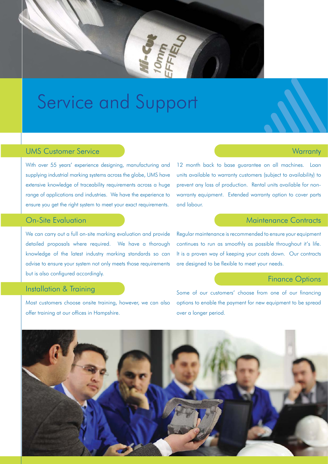

### Service and Support

#### UMS Customer Service

With over 55 years' experience designing, manufacturing and supplying industrial marking systems across the globe, UMS have extensive knowledge of traceability requirements across a huge range of applications and industries. We have the experience to ensure you get the right system to meet your exact requirements.

#### On-Site Evaluation

We can carry out a full on-site marking evaluation and provide detailed proposals where required. We have a thorough knowledge of the latest industry marking standards so can advise to ensure your system not only meets those requirements but is also configured accordingly.

#### Installation & Training

Most customers choose onsite training, however, we can also offer training at our offices in Hampshire.

#### 12 month back to base guarantee on all machines. Loan units available to warranty customers (subject to availability) to prevent any loss of production. Rental units available for nonwarranty equipment. Extended warranty option to cover parts and labour.

#### Maintenance Contracts

**Warranty** 

Regular maintenance is recommended to ensure your equipment continues to run as smoothly as possible throughout it's life. It is a proven way of keeping your costs down. Our contracts are designed to be flexible to meet your needs.

#### Finance Options

Some of our customers' choose from one of our financina options to enable the payment for new equipment to be spread over a longer period.